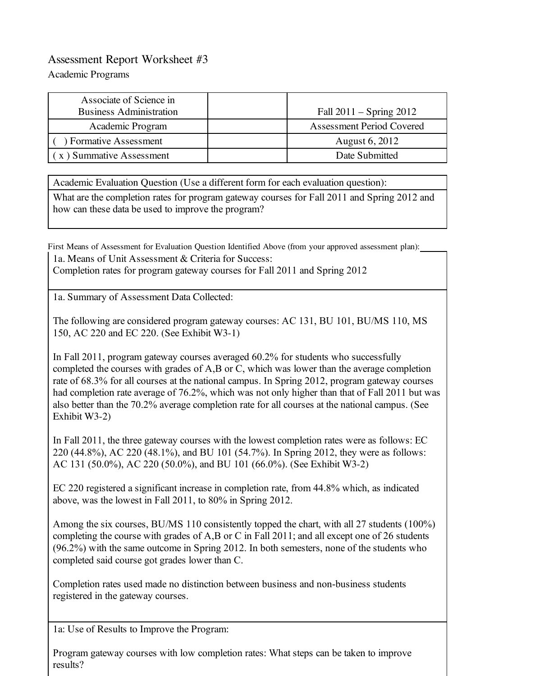## Assessment Report Worksheet #3

Academic Programs

| Associate of Science in<br><b>Business Administration</b> | Fall $2011 -$ Spring $2012$ |
|-----------------------------------------------------------|-----------------------------|
| Academic Program                                          | Assessment Period Covered   |
| ) Formative Assessment                                    | August 6, 2012              |
| $\mathbf{x}$ ) Summative Assessment                       | Date Submitted              |

Academic Evaluation Question (Use a different form for each evaluation question):

What are the completion rates for program gateway courses for Fall 2011 and Spring 2012 and how can these data be used to improve the program?

First Means of Assessment for Evaluation Question Identified Above (from your approved assessment plan): 1a. Means of Unit Assessment & Criteria for Success: Completion rates for program gateway courses for Fall 2011 and Spring 2012

1a. Summary of Assessment Data Collected:

The following are considered program gateway courses: AC 131, BU 101, BU/MS 110, MS 150, AC 220 and EC 220. (See Exhibit W3-1)

In Fall 2011, program gateway courses averaged 60.2% for students who successfully completed the courses with grades of A,B or C, which was lower than the average completion rate of 68.3% for all courses at the national campus. In Spring 2012, program gateway courses had completion rate average of 76.2%, which was not only higher than that of Fall 2011 but was also better than the 70.2% average completion rate for all courses at the national campus. (See Exhibit W3-2)

In Fall 2011, the three gateway courses with the lowest completion rates were as follows: EC 220 (44.8%), AC 220 (48.1%), and BU 101 (54.7%). In Spring 2012, they were as follows: AC 131 (50.0%), AC 220 (50.0%), and BU 101 (66.0%). (See Exhibit W3-2)

EC 220 registered a significant increase in completion rate, from 44.8% which, as indicated above, was the lowest in Fall 2011, to 80% in Spring 2012.

Among the six courses, BU/MS 110 consistently topped the chart, with all 27 students (100%) completing the course with grades of A,B or C in Fall 2011; and all except one of 26 students (96.2%) with the same outcome in Spring 2012. In both semesters, none of the students who completed said course got grades lower than C.

Completion rates used made no distinction between business and non-business students registered in the gateway courses.

1a: Use of Results to Improve the Program:

Program gateway courses with low completion rates: What steps can be taken to improve results?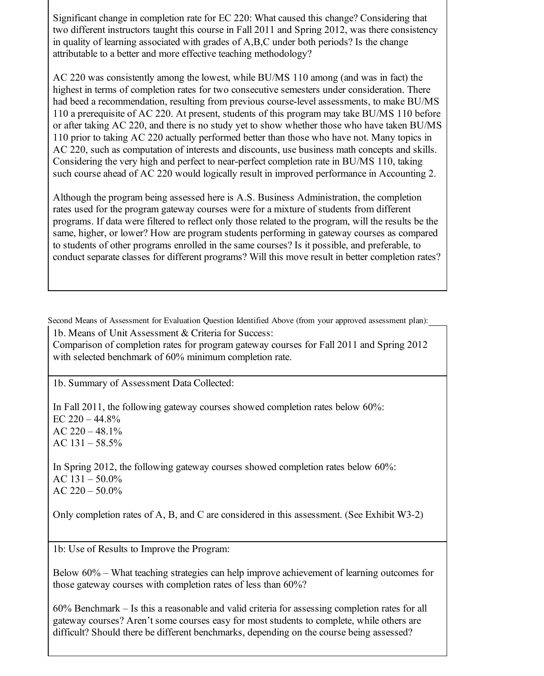Significant change in completion rate for EC 220: What caused this change? Considering that two different instructors taught this course in Fall 2011 and Spring 2012, was there consistency in quality of learning associated with grades of A,B,C under both periods? Is the change attributable to a better and more effective teaching methodology?

AC 220 was consistently among the lowest, while BU/MS 110 among (and was in fact) the highest in terms of completion rates for two consecutive semesters under consideration. There had beed a recommendation, resulting from previous course-level assessments, to make BU/MS 110 a prerequisite of AC 220. At present, students of this program may take BU/MS 110 before or after taking AC 220, and there is no study yet to show whether those who have taken BU/MS 110 prior to taking AC 220 actually performed better than those who have not. Many topics in AC 220, such as computation of interests and discounts, use business math concepts and skills. Considering the very high and perfect to near-perfect completion rate in BU/MS 110, taking such course ahead of AC 220 would logically result in improved performance in Accounting 2.

Although the program being assessed here is A.S. Business Administration, the completion rates used for the program gateway courses were for a mixture of students from different programs. If data were filtered to reflect only those related to the program, will the results be the same, higher, or lower? How are program students performing in gateway courses as compared to students of other programs enrolled in the same courses? Is it possible, and preferable, to conduct separate classes for different programs? Will this move result in better completion rates?

Second Means of Assessment for Evaluation Question Identified Above (from your approved assessment plan):

1b. Means of Unit Assessment & Criteria for Success:

Comparison of completion rates for program gateway courses for Fall 2011 and Spring 2012 with selected benchmark of 60% minimum completion rate.

1b. Summary of Assessment Data Collected:

In Fall 2011, the following gateway courses showed completion rates below 60%: EC  $220 - 44.8%$ AC  $220 - 48.1\%$ AC 131 – 58.5%

In Spring 2012, the following gateway courses showed completion rates below 60%: AC  $131 - 50.0\%$ AC  $220 - 50.0\%$ 

Only completion rates of A, B, and C are considered in this assessment. (See Exhibit W3-2)

1b: Use of Results to Improve the Program:

Below 60% – What teaching strategies can help improve achievement of learning outcomes for those gateway courses with completion rates of less than 60%?

60% Benchmark – Is this a reasonable and valid criteria for assessing completion rates for all gateway courses? Aren't some courses easy for most students to complete, while others are difficult? Should there be different benchmarks, depending on the course being assessed?